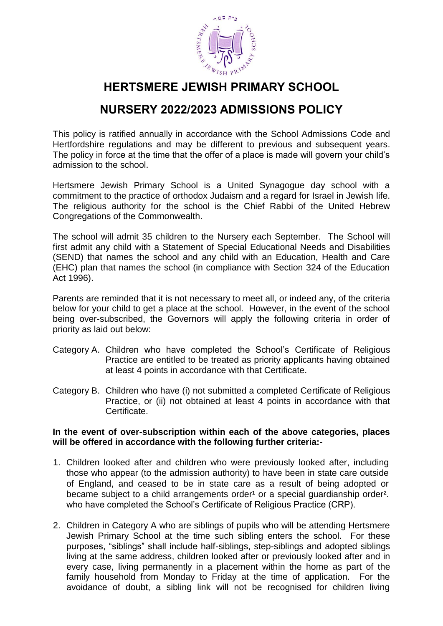

# **HERTSMERE JEWISH PRIMARY SCHOOL**

### **NURSERY 2022/2023 ADMISSIONS POLICY**

This policy is ratified annually in accordance with the School Admissions Code and Hertfordshire regulations and may be different to previous and subsequent years. The policy in force at the time that the offer of a place is made will govern your child's admission to the school.

Hertsmere Jewish Primary School is a United Synagogue day school with a commitment to the practice of orthodox Judaism and a regard for Israel in Jewish life. The religious authority for the school is the Chief Rabbi of the United Hebrew Congregations of the Commonwealth.

The school will admit 35 children to the Nursery each September. The School will first admit any child with a Statement of Special Educational Needs and Disabilities (SEND) that names the school and any child with an Education, Health and Care (EHC) plan that names the school (in compliance with Section 324 of the Education Act 1996).

Parents are reminded that it is not necessary to meet all, or indeed any, of the criteria below for your child to get a place at the school. However, in the event of the school being over-subscribed, the Governors will apply the following criteria in order of priority as laid out below:

- Category A. Children who have completed the School's Certificate of Religious Practice are entitled to be treated as priority applicants having obtained at least 4 points in accordance with that Certificate.
- Category B. Children who have (i) not submitted a completed Certificate of Religious Practice, or (ii) not obtained at least 4 points in accordance with that Certificate.

#### **In the event of over-subscription within each of the above categories, places will be offered in accordance with the following further criteria:-**

- 1. Children looked after and children who were previously looked after, including those who appear (to the admission authority) to have been in state care outside of England, and ceased to be in state care as a result of being adopted or became subject to a child arrangements order<sup>1</sup> or a special quardianship order<sup>2</sup>. who have completed the School's Certificate of Religious Practice (CRP).
- 2. Children in Category A who are siblings of pupils who will be attending Hertsmere Jewish Primary School at the time such sibling enters the school. For these purposes, "siblings" shall include half-siblings, step-siblings and adopted siblings living at the same address, children looked after or previously looked after and in every case, living permanently in a placement within the home as part of the family household from Monday to Friday at the time of application. For the avoidance of doubt, a sibling link will not be recognised for children living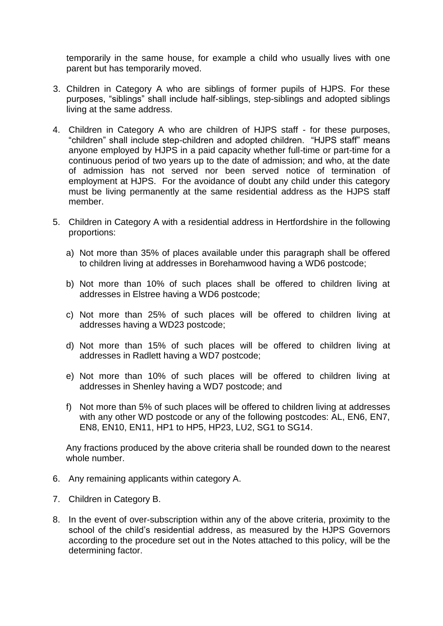temporarily in the same house, for example a child who usually lives with one parent but has temporarily moved.

- 3. Children in Category A who are siblings of former pupils of HJPS. For these purposes, "siblings" shall include half-siblings, step-siblings and adopted siblings living at the same address.
- 4. Children in Category A who are children of HJPS staff for these purposes, "children" shall include step-children and adopted children. "HJPS staff" means anyone employed by HJPS in a paid capacity whether full-time or part-time for a continuous period of two years up to the date of admission; and who, at the date of admission has not served nor been served notice of termination of employment at HJPS. For the avoidance of doubt any child under this category must be living permanently at the same residential address as the HJPS staff member.
- 5. Children in Category A with a residential address in Hertfordshire in the following proportions:
	- a) Not more than 35% of places available under this paragraph shall be offered to children living at addresses in Borehamwood having a WD6 postcode;
	- b) Not more than 10% of such places shall be offered to children living at addresses in Elstree having a WD6 postcode;
	- c) Not more than 25% of such places will be offered to children living at addresses having a WD23 postcode;
	- d) Not more than 15% of such places will be offered to children living at addresses in Radlett having a WD7 postcode;
	- e) Not more than 10% of such places will be offered to children living at addresses in Shenley having a WD7 postcode; and
	- f) Not more than 5% of such places will be offered to children living at addresses with any other WD postcode or any of the following postcodes: AL, EN6, EN7, EN8, EN10, EN11, HP1 to HP5, HP23, LU2, SG1 to SG14.

Any fractions produced by the above criteria shall be rounded down to the nearest whole number.

- 6. Any remaining applicants within category A.
- 7. Children in Category B.
- 8. In the event of over-subscription within any of the above criteria, proximity to the school of the child's residential address, as measured by the HJPS Governors according to the procedure set out in the Notes attached to this policy, will be the determining factor.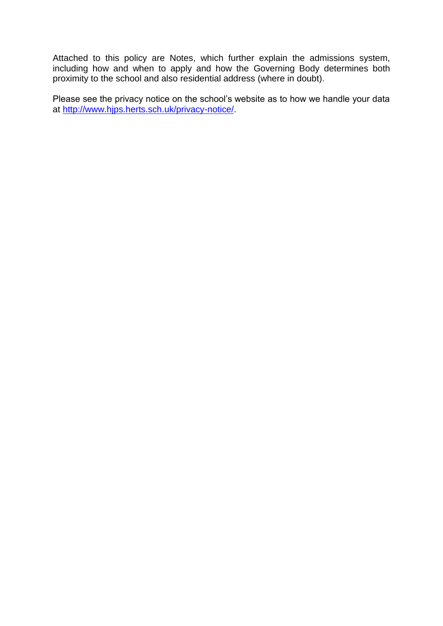Attached to this policy are Notes, which further explain the admissions system, including how and when to apply and how the Governing Body determines both proximity to the school and also residential address (where in doubt).

Please see the privacy notice on the school's website as to how we handle your data at [http://www.hjps.herts.sch.uk/privacy-notice/.](http://www.hjps.herts.sch.uk/privacy-notice/)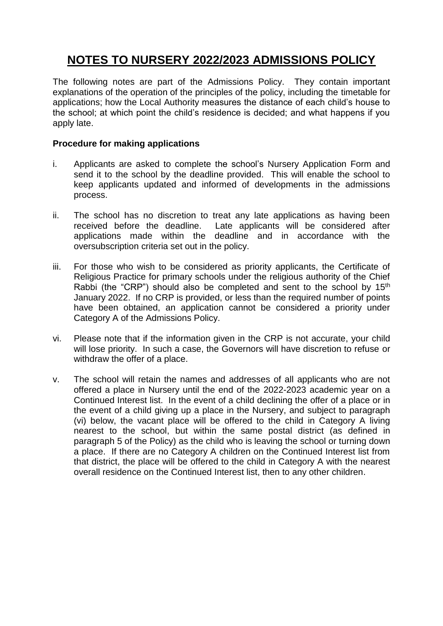## **NOTES TO NURSERY 2022/2023 ADMISSIONS POLICY**

The following notes are part of the Admissions Policy. They contain important explanations of the operation of the principles of the policy, including the timetable for applications; how the Local Authority measures the distance of each child's house to the school; at which point the child's residence is decided; and what happens if you apply late.

#### **Procedure for making applications**

- i. Applicants are asked to complete the school's Nursery Application Form and send it to the school by the deadline provided. This will enable the school to keep applicants updated and informed of developments in the admissions process.
- ii. The school has no discretion to treat any late applications as having been received before the deadline. Late applicants will be considered after applications made within the deadline and in accordance with the oversubscription criteria set out in the policy.
- iii. For those who wish to be considered as priority applicants, the Certificate of Religious Practice for primary schools under the religious authority of the Chief Rabbi (the "CRP") should also be completed and sent to the school by  $15<sup>th</sup>$ January 2022. If no CRP is provided, or less than the required number of points have been obtained, an application cannot be considered a priority under Category A of the Admissions Policy.
- vi. Please note that if the information given in the CRP is not accurate, your child will lose priority. In such a case, the Governors will have discretion to refuse or withdraw the offer of a place.
- v. The school will retain the names and addresses of all applicants who are not offered a place in Nursery until the end of the 2022-2023 academic year on a Continued Interest list. In the event of a child declining the offer of a place or in the event of a child giving up a place in the Nursery, and subject to paragraph (vi) below, the vacant place will be offered to the child in Category A living nearest to the school, but within the same postal district (as defined in paragraph 5 of the Policy) as the child who is leaving the school or turning down a place. If there are no Category A children on the Continued Interest list from that district, the place will be offered to the child in Category A with the nearest overall residence on the Continued Interest list, then to any other children.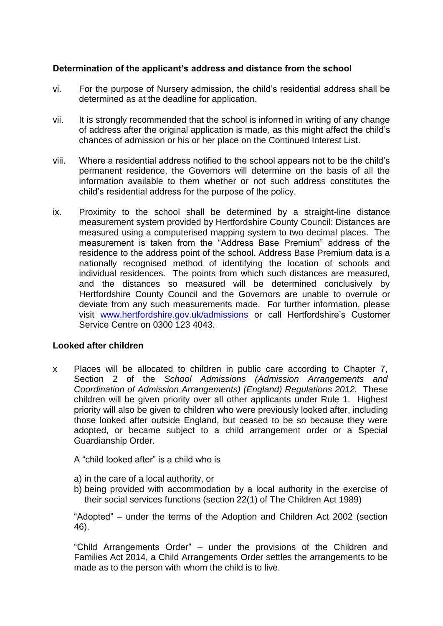### **Determination of the applicant's address and distance from the school**

- vi. For the purpose of Nursery admission, the child's residential address shall be determined as at the deadline for application.
- vii. It is strongly recommended that the school is informed in writing of any change of address after the original application is made, as this might affect the child's chances of admission or his or her place on the Continued Interest List.
- viii. Where a residential address notified to the school appears not to be the child's permanent residence, the Governors will determine on the basis of all the information available to them whether or not such address constitutes the child's residential address for the purpose of the policy.
- ix. Proximity to the school shall be determined by a straight-line distance measurement system provided by Hertfordshire County Council: Distances are measured using a computerised mapping system to two decimal places. The measurement is taken from the "Address Base Premium" address of the residence to the address point of the school. Address Base Premium data is a nationally recognised method of identifying the location of schools and individual residences. The points from which such distances are measured, and the distances so measured will be determined conclusively by Hertfordshire County Council and the Governors are unable to overrule or deviate from any such measurements made. For further information, please visit [www.hertfordshire.gov.uk/admissions](http://www.hertsdirect.org/scholearn/admissions/) or call Hertfordshire's Customer Service Centre on 0300 123 4043.

#### **Looked after children**

x Places will be allocated to children in public care according to Chapter 7, Section 2 of the *School Admissions (Admission Arrangements and Coordination of Admission Arrangements) (England) Regulations 2012.* These children will be given priority over all other applicants under Rule 1. Highest priority will also be given to children who were previously looked after, including those looked after outside England, but ceased to be so because they were adopted, or became subject to a child arrangement order or a Special Guardianship Order.

A "child looked after" is a child who is

- a) in the care of a local authority, or
- b) being provided with accommodation by a local authority in the exercise of their social services functions (section 22(1) of The Children Act 1989)

"Adopted" – under the terms of the Adoption and Children Act 2002 (section 46).

"Child Arrangements Order" – under the provisions of the Children and Families Act 2014, a Child Arrangements Order settles the arrangements to be made as to the person with whom the child is to live.